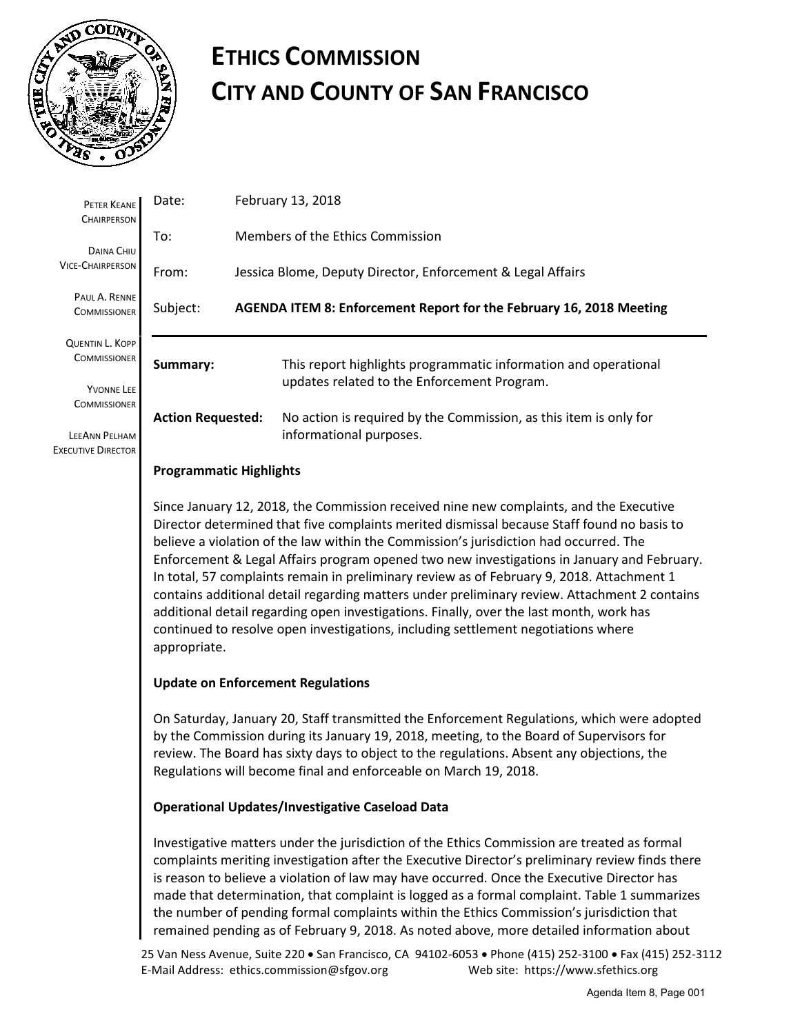

# **ETHICS COMMISSION CITY AND COUNTY OF SAN FRANCISCO**

| PETER KEANE<br><b>CHAIRPERSON</b>                                                  | Date:                                                                                                                                                                                                                                                                                                                                                                                                                                                                                                                                                                                                                                                                                                                                                                    | February 13, 2018                                                   |                                                                                                                |  |  |
|------------------------------------------------------------------------------------|--------------------------------------------------------------------------------------------------------------------------------------------------------------------------------------------------------------------------------------------------------------------------------------------------------------------------------------------------------------------------------------------------------------------------------------------------------------------------------------------------------------------------------------------------------------------------------------------------------------------------------------------------------------------------------------------------------------------------------------------------------------------------|---------------------------------------------------------------------|----------------------------------------------------------------------------------------------------------------|--|--|
| DAINA CHIU<br><b>VICE-CHAIRPERSON</b>                                              | To:                                                                                                                                                                                                                                                                                                                                                                                                                                                                                                                                                                                                                                                                                                                                                                      |                                                                     | Members of the Ethics Commission                                                                               |  |  |
|                                                                                    | From:                                                                                                                                                                                                                                                                                                                                                                                                                                                                                                                                                                                                                                                                                                                                                                    |                                                                     | Jessica Blome, Deputy Director, Enforcement & Legal Affairs                                                    |  |  |
| PAUL A. RENNE<br><b>COMMISSIONER</b>                                               | Subject:                                                                                                                                                                                                                                                                                                                                                                                                                                                                                                                                                                                                                                                                                                                                                                 | AGENDA ITEM 8: Enforcement Report for the February 16, 2018 Meeting |                                                                                                                |  |  |
| <b>QUENTIN L. KOPP</b><br><b>COMMISSIONER</b><br>YVONNE LEE<br><b>COMMISSIONER</b> | Summary:<br><b>Action Requested:</b>                                                                                                                                                                                                                                                                                                                                                                                                                                                                                                                                                                                                                                                                                                                                     |                                                                     | This report highlights programmatic information and operational<br>updates related to the Enforcement Program. |  |  |
|                                                                                    |                                                                                                                                                                                                                                                                                                                                                                                                                                                                                                                                                                                                                                                                                                                                                                          |                                                                     | No action is required by the Commission, as this item is only for                                              |  |  |
| LEEANN PELHAM<br><b>EXECUTIVE DIRECTOR</b>                                         | informational purposes.<br><b>Programmatic Highlights</b>                                                                                                                                                                                                                                                                                                                                                                                                                                                                                                                                                                                                                                                                                                                |                                                                     |                                                                                                                |  |  |
|                                                                                    | Since January 12, 2018, the Commission received nine new complaints, and the Executive<br>Director determined that five complaints merited dismissal because Staff found no basis to<br>believe a violation of the law within the Commission's jurisdiction had occurred. The<br>Enforcement & Legal Affairs program opened two new investigations in January and February.<br>In total, 57 complaints remain in preliminary review as of February 9, 2018. Attachment 1<br>contains additional detail regarding matters under preliminary review. Attachment 2 contains<br>additional detail regarding open investigations. Finally, over the last month, work has<br>continued to resolve open investigations, including settlement negotiations where<br>appropriate. |                                                                     |                                                                                                                |  |  |

### **Update on Enforcement Regulations**

On Saturday, January 20, Staff transmitted the Enforcement Regulations, which were adopted by the Commission during its January 19, 2018, meeting, to the Board of Supervisors for review. The Board has sixty days to object to the regulations. Absent any objections, the Regulations will become final and enforceable on March 19, 2018.

#### **Operational Updates/Investigative Caseload Data**

Investigative matters under the jurisdiction of the Ethics Commission are treated as formal complaints meriting investigation after the Executive Director's preliminary review finds there is reason to believe a violation of law may have occurred. Once the Executive Director has made that determination, that complaint is logged as a formal complaint. Table 1 summarizes the number of pending formal complaints within the Ethics Commission's jurisdiction that remained pending as of February 9, 2018. As noted above, more detailed information about

25 Van Ness Avenue, Suite 220 • San Francisco, CA 94102-6053 • Phone (415) 252-3100 • Fax (415) 252-3112 E-Mail Address: ethics.commission@sfgov.org Web site: https://www.sfethics.org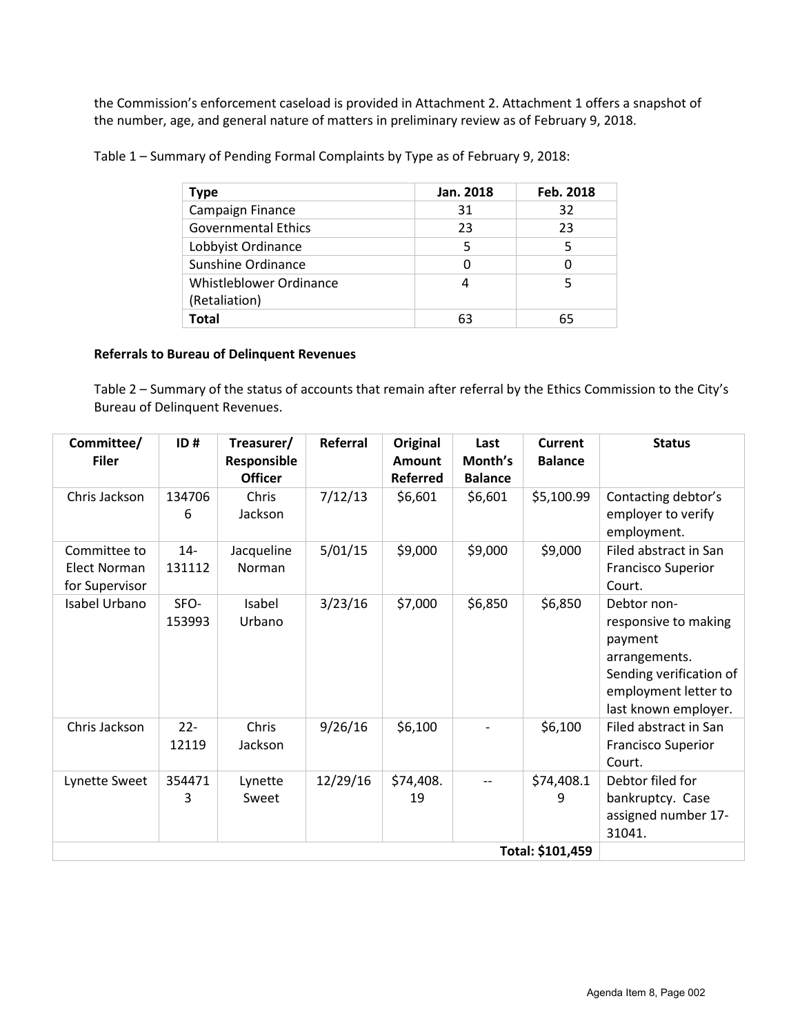the Commission's enforcement caseload is provided in Attachment 2. Attachment 1 offers a snapshot of the number, age, and general nature of matters in preliminary review as of February 9, 2018.

Table 1 – Summary of Pending Formal Complaints by Type as of February 9, 2018:

| Type                                     | Jan. 2018 | Feb. 2018 |  |
|------------------------------------------|-----------|-----------|--|
| Campaign Finance                         | 31        | 32        |  |
| <b>Governmental Ethics</b>               | 23        | 23        |  |
| Lobbyist Ordinance                       | 5         | 5         |  |
| Sunshine Ordinance                       |           | 0         |  |
| Whistleblower Ordinance<br>(Retaliation) | 4         | 5         |  |
| Total                                    | 63        | 65        |  |

#### **Referrals to Bureau of Delinquent Revenues**

Table 2 – Summary of the status of accounts that remain after referral by the Ethics Commission to the City's Bureau of Delinquent Revenues.

| Committee/<br><b>Filer</b>                     | ID#              | Treasurer/<br>Responsible<br><b>Officer</b> | Referral | <b>Original</b><br><b>Amount</b><br><b>Referred</b> | Last<br>Month's<br><b>Balance</b> | Current<br><b>Balance</b> | <b>Status</b>                                                                                                                              |
|------------------------------------------------|------------------|---------------------------------------------|----------|-----------------------------------------------------|-----------------------------------|---------------------------|--------------------------------------------------------------------------------------------------------------------------------------------|
| Chris Jackson                                  | 134706<br>6      | Chris<br>Jackson                            | 7/12/13  | \$6,601                                             | \$6,601                           | \$5,100.99                | Contacting debtor's<br>employer to verify<br>employment.                                                                                   |
| Committee to<br>Elect Norman<br>for Supervisor | $14 -$<br>131112 | Jacqueline<br>Norman                        | 5/01/15  | \$9,000                                             | \$9,000                           | \$9,000                   | Filed abstract in San<br><b>Francisco Superior</b><br>Court.                                                                               |
| Isabel Urbano                                  | SFO-<br>153993   | Isabel<br>Urbano                            | 3/23/16  | \$7,000                                             | \$6,850                           | \$6,850                   | Debtor non-<br>responsive to making<br>payment<br>arrangements.<br>Sending verification of<br>employment letter to<br>last known employer. |
| Chris Jackson                                  | $22 -$<br>12119  | Chris<br>Jackson                            | 9/26/16  | \$6,100                                             |                                   | \$6,100                   | Filed abstract in San<br><b>Francisco Superior</b><br>Court.                                                                               |
| Lynette Sweet                                  | 354471<br>3      | Lynette<br>Sweet                            | 12/29/16 | \$74,408.<br>19                                     | $- -$                             | \$74,408.1<br>9           | Debtor filed for<br>bankruptcy. Case<br>assigned number 17-<br>31041.                                                                      |
|                                                |                  |                                             |          |                                                     |                                   |                           |                                                                                                                                            |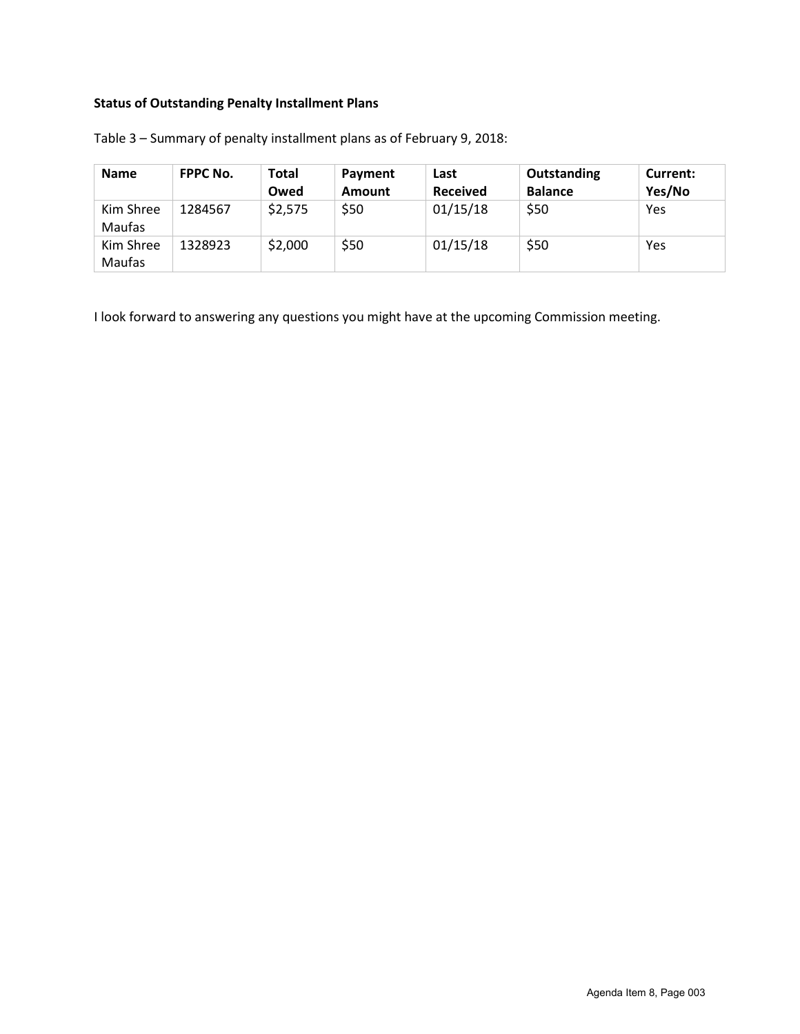## **Status of Outstanding Penalty Installment Plans**

| <b>Name</b>         | <b>FPPC No.</b> | <b>Total</b><br>Owed | Payment<br>Amount | Last<br><b>Received</b> | Outstanding<br><b>Balance</b> | Current:<br>Yes/No |
|---------------------|-----------------|----------------------|-------------------|-------------------------|-------------------------------|--------------------|
| Kim Shree<br>Maufas | 1284567         | \$2,575              | \$50              | 01/15/18                | \$50                          | Yes                |
| Kim Shree<br>Maufas | 1328923         | \$2,000              | \$50              | 01/15/18                | \$50                          | Yes                |

Table 3 – Summary of penalty installment plans as of February 9, 2018:

I look forward to answering any questions you might have at the upcoming Commission meeting.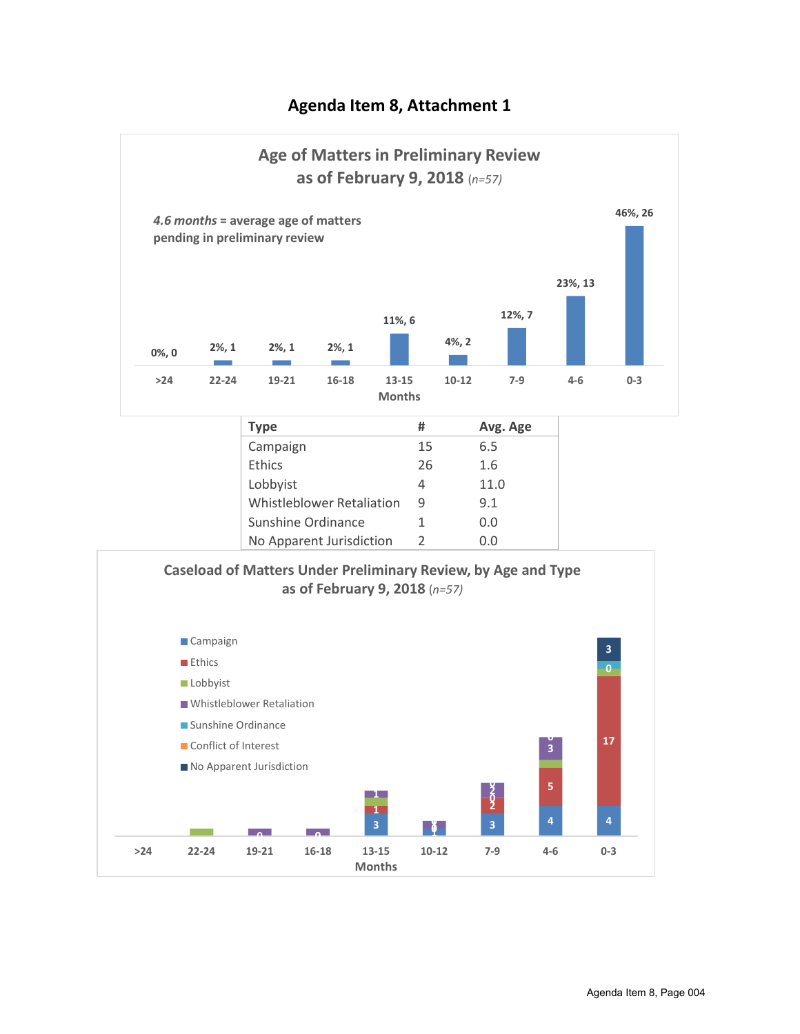## **Agenda Item 8, Attachment 1**